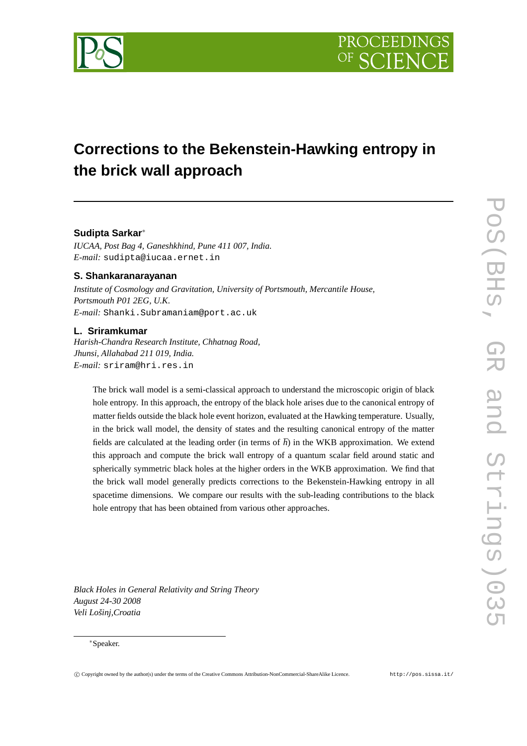

# **Corrections to the Bekenstein-Hawking entropy in the brick wall approach**

# **Sudipta Sarkar**<sup>∗</sup>

*IUCAA, Post Bag 4, Ganeshkhind, Pune 411 007, India. E-mail:* sudipta@iucaa.ernet.in

# **S. Shankaranarayanan**

*Institute of Cosmology and Gravitation, University of Portsmouth, Mercantile House, Portsmouth P01 2EG, U.K. E-mail:* Shanki.Subramaniam@port.ac.uk

# **L. Sriramkumar**

*Harish-Chandra Research Institute, Chhatnag Road, Jhunsi, Allahabad 211 019, India. E-mail:* sriram@hri.res.in

The brick wall model is a semi-classical approach to understand the microscopic origin of black hole entropy. In this approach, the entropy of the black hole arises due to the canonical entropy of matter fields outside the black hole event horizon, evaluated at the Hawking temperature. Usually, in the brick wall model, the density of states and the resulting canonical entropy of the matter fields are calculated at the leading order (in terms of  $\hbar$ ) in the WKB approximation. We extend this approach and compute the brick wall entropy of a quantum scalar field around static and spherically symmetric black holes at the higher orders in the WKB approximation. We find that the brick wall model generally predicts corrections to the Bekenstein-Hawking entropy in all spacetime dimensions. We compare our results with the sub-leading contributions to the black hole entropy that has been obtained from various other approaches.

*Black Holes in General Relativity and String Theory August 24-30 2008 Veli Lošinj,Croatia*

## <sup>∗</sup>Speaker.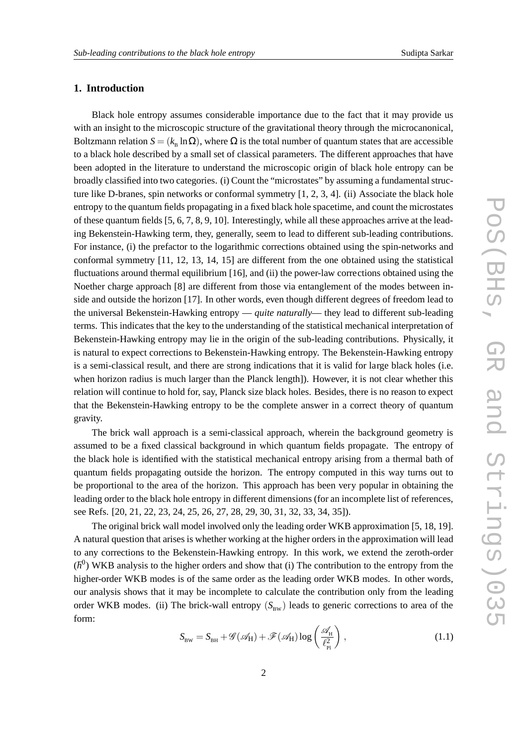# **1. Introduction**

Black hole entropy assumes considerable importance due to the fact that it may provide us with an insight to the microscopic structure of the gravitational theory through the microcanonical, Boltzmann relation  $S = (k_{\rm B} \ln \Omega)$ , where  $\Omega$  is the total number of quantum states that are accessible to a black hole described by a small set of classical parameters. The different approaches that have been adopted in the literature to understand the microscopic origin of black hole entropy can be broadly classified into two categories. (i) Count the "microstates" by assuming a fundamental structure like D-branes, spin networks or conformal symmetry [1, 2, 3, 4]. (ii) Associate the black hole entropy to the quantum fields propagating in a fixed black hole spacetime, and count the microstates of these quantum fields [5, 6, 7, 8, 9, 10]. Interestingly, while all these approaches arrive at the leading Bekenstein-Hawking term, they, generally, seem to lead to different sub-leading contributions. For instance, (i) the prefactor to the logarithmic corrections obtained using the spin-networks and conformal symmetry [11, 12, 13, 14, 15] are different from the one obtained using the statistical fluctuations around thermal equilibrium [16], and (ii) the power-law corrections obtained using the Noether charge approach [8] are different from those via entanglement of the modes between inside and outside the horizon [17]. In other words, even though different degrees of freedom lead to the universal Bekenstein-Hawking entropy — *quite naturally*— they lead to different sub-leading terms. This indicates that the key to the understanding of the statistical mechanical interpretation of Bekenstein-Hawking entropy may lie in the origin of the sub-leading contributions. Physically, it is natural to expect corrections to Bekenstein-Hawking entropy. The Bekenstein-Hawking entropy is a semi-classical result, and there are strong indications that it is valid for large black holes (i.e. when horizon radius is much larger than the Planck length]). However, it is not clear whether this relation will continue to hold for, say, Planck size black holes. Besides, there is no reason to expect that the Bekenstein-Hawking entropy to be the complete answer in a correct theory of quantum gravity.

The brick wall approach is a semi-classical approach, wherein the background geometry is assumed to be a fixed classical background in which quantum fields propagate. The entropy of the black hole is identified with the statistical mechanical entropy arising from a thermal bath of quantum fields propagating outside the horizon. The entropy computed in this way turns out to be proportional to the area of the horizon. This approach has been very popular in obtaining the leading order to the black hole entropy in different dimensions (for an incomplete list of references, see Refs. [20, 21, 22, 23, 24, 25, 26, 27, 28, 29, 30, 31, 32, 33, 34, 35]).

The original brick wall model involved only the leading order WKB approximation [5, 18, 19]. A natural question that arises is whether working at the higher orders in the approximation will lead to any corrections to the Bekenstein-Hawking entropy. In this work, we extend the zeroth-order  $(h^0)$  WKB analysis to the higher orders and show that (i) The contribution to the entropy from the higher-order WKB modes is of the same order as the leading order WKB modes. In other words, our analysis shows that it may be incomplete to calculate the contribution only from the leading order WKB modes. (ii) The brick-wall entropy  $(S_{\text{BW}})$  leads to generic corrections to area of the form:

$$
S_{\text{BW}} = S_{\text{BH}} + \mathcal{G}(\mathscr{A}_{\text{H}}) + \mathcal{F}(\mathscr{A}_{\text{H}}) \log \left( \frac{\mathscr{A}_{\text{H}}}{\ell_{\text{Pl}}^2} \right), \qquad (1.1)
$$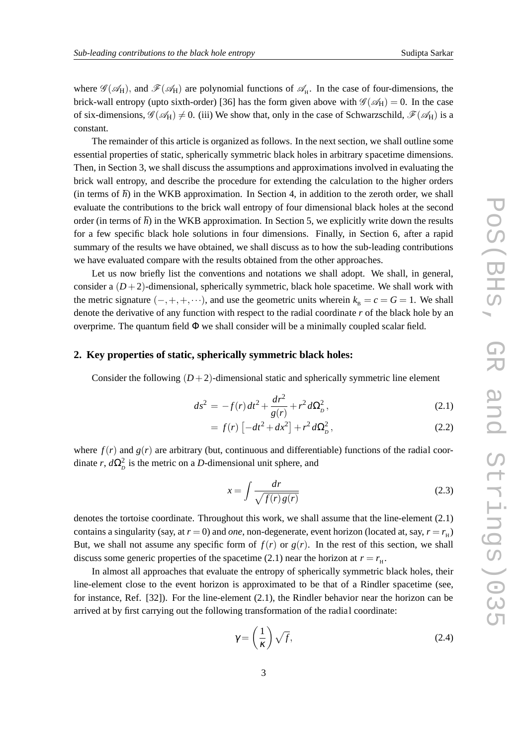where  $\mathscr{G}(\mathscr{A}_H)$ , and  $\mathscr{F}(\mathscr{A}_H)$  are polynomial functions of  $\mathscr{A}_H$ . In the case of four-dimensions, the brick-wall entropy (upto sixth-order) [36] has the form given above with  $\mathscr{G}(\mathscr{A}_H) = 0$ . In the case of six-dimensions,  $\mathscr{G}(\mathscr{A}_H) \neq 0$ . (iii) We show that, only in the case of Schwarzschild,  $\mathscr{F}(\mathscr{A}_H)$  is a constant.

The remainder of this article is organized as follows. In the next section, we shall outline some essential properties of static, spherically symmetric black holes in arbitrary spacetime dimensions. Then, in Section 3, we shall discuss the assumptions and approximations involved in evaluating the brick wall entropy, and describe the procedure for extending the calculation to the higher orders (in terms of  $\hbar$ ) in the WKB approximation. In Section 4, in addition to the zeroth order, we shall evaluate the contributions to the brick wall entropy of four dimensional black holes at the second order (in terms of  $\hbar$ ) in the WKB approximation. In Section 5, we explicitly write down the results for a few specific black hole solutions in four dimensions. Finally, in Section 6, after a rapid summary of the results we have obtained, we shall discuss as to how the sub-leading contributions we have evaluated compare with the results obtained from the other approaches.

Let us now briefly list the conventions and notations we shall adopt. We shall, in general, consider a  $(D+2)$ -dimensional, spherically symmetric, black hole spacetime. We shall work with the metric signature  $(-, +, +, \cdots)$ , and use the geometric units wherein  $k_B = c = G = 1$ . We shall denote the derivative of any function with respect to the radial coordinate *r* of the black hole by an overprime. The quantum field  $\Phi$  we shall consider will be a minimally coupled scalar field.

# **2. Key properties of static, spherically symmetric black holes:**

Consider the following  $(D+2)$ -dimensional static and spherically symmetric line element

$$
ds^{2} = -f(r)dt^{2} + \frac{dr^{2}}{g(r)} + r^{2}d\Omega_{D}^{2},
$$
\t(2.1)

$$
= f(r) \left[ -dt^2 + dx^2 \right] + r^2 d\Omega_p^2, \qquad (2.2)
$$

where  $f(r)$  and  $g(r)$  are arbitrary (but, continuous and differentiable) functions of the radial coordinate *r*,  $d\Omega_p^2$  is the metric on a *D*-dimensional unit sphere, and

$$
x = \int \frac{dr}{\sqrt{f(r)g(r)}}\tag{2.3}
$$

denotes the tortoise coordinate. Throughout this work, we shall assume that the line-element (2.1) contains a singularity (say, at  $r = 0$ ) and *one*, non-degenerate, event horizon (located at, say,  $r = r<sub>H</sub>$ ) But, we shall not assume any specific form of  $f(r)$  or  $g(r)$ . In the rest of this section, we shall discuss some generic properties of the spacetime (2.1) near the horizon at  $r = r<sub>H</sub>$ .

In almost all approaches that evaluate the entropy of spherically symmetric black holes, their line-element close to the event horizon is approximated to be that of a Rindler spacetime (see, for instance, Ref. [32]). For the line-element (2.1), the Rindler behavior near the horizon can be arrived at by first carrying out the following transformation of the radial coordinate:

$$
\gamma = \left(\frac{1}{\kappa}\right)\sqrt{f},\tag{2.4}
$$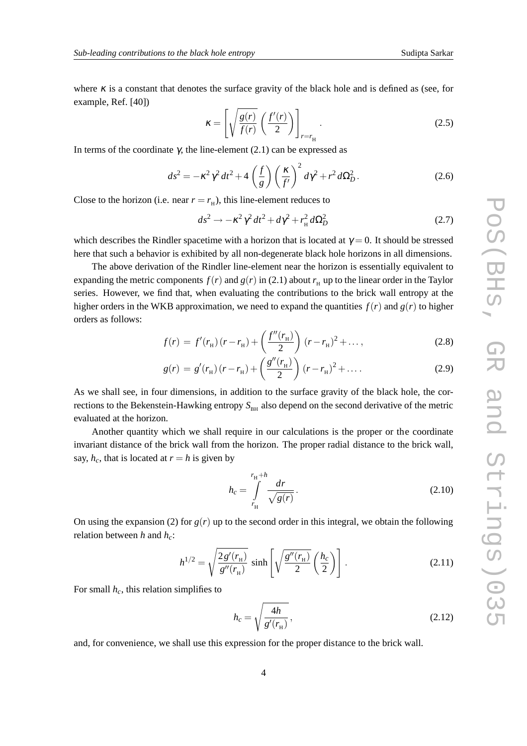where  $\kappa$  is a constant that denotes the surface gravity of the black hole and is defined as (see, for example, Ref. [40])

$$
\kappa = \left[ \sqrt{\frac{g(r)}{f(r)}} \left( \frac{f'(r)}{2} \right) \right]_{r=r_{\rm H}} . \tag{2.5}
$$

In terms of the coordinate γ, the line-element  $(2.1)$  can be expressed as

$$
ds^2 = -\kappa^2 \gamma^2 dt^2 + 4\left(\frac{f}{g}\right) \left(\frac{\kappa}{f'}\right)^2 d\gamma^2 + r^2 d\Omega_D^2.
$$
 (2.6)

Close to the horizon (i.e. near  $r = r<sub>H</sub>$ ), this line-element reduces to

$$
ds^2 \to -\kappa^2 \gamma^2 dt^2 + d\gamma^2 + r_{\rm H}^2 d\Omega_D^2 \tag{2.7}
$$

which describes the Rindler spacetime with a horizon that is located at  $\gamma = 0$ . It should be stressed here that such a behavior is exhibited by all non-degenerate black hole horizons in all dimensions.

The above derivation of the Rindler line-element near the horizon is essentially equivalent to expanding the metric components  $f(r)$  and  $g(r)$  in (2.1) about  $r<sub>H</sub>$  up to the linear order in the Taylor series. However, we find that, when evaluating the contributions to the brick wall entropy at the higher orders in the WKB approximation, we need to expand the quantities  $f(r)$  and  $g(r)$  to higher orders as follows:

$$
f(r) = f'(r_{\rm H})\left(r - r_{\rm H}\right) + \left(\frac{f''(r_{\rm H})}{2}\right)\left(r - r_{\rm H}\right)^2 + \dots,\tag{2.8}
$$

$$
g(r) = g'(r_{\rm H})\left(r - r_{\rm H}\right) + \left(\frac{g''(r_{\rm H})}{2}\right)(r - r_{\rm H})^2 + \dots \tag{2.9}
$$

As we shall see, in four dimensions, in addition to the surface gravity of the black hole, the corrections to the Bekenstein-Hawking entropy  $S<sub>BH</sub>$  also depend on the second derivative of the metric evaluated at the horizon.

Another quantity which we shall require in our calculations is the proper or the coordinate invariant distance of the brick wall from the horizon. The proper radial distance to the brick wall, say,  $h_c$ , that is located at  $r = h$  is given by

$$
h_c = \int_{r_{\rm H}}^{r_{\rm H}+h} \frac{dr}{\sqrt{g(r)}}.
$$
\n(2.10)

On using the expansion (2) for  $g(r)$  up to the second order in this integral, we obtain the following relation between *h* and *hc*:

$$
h^{1/2} = \sqrt{\frac{2 g'(r_{\rm H})}{g''(r_{\rm H})}} \sinh\left[\sqrt{\frac{g''(r_{\rm H})}{2}} \left(\frac{h_c}{2}\right)\right].
$$
 (2.11)

For small *hc*, this relation simplifies to

$$
h_c = \sqrt{\frac{4h}{g'(r_{\rm H})}},\tag{2.12}
$$

and, for convenience, we shall use this expression for the proper distance to the brick wall.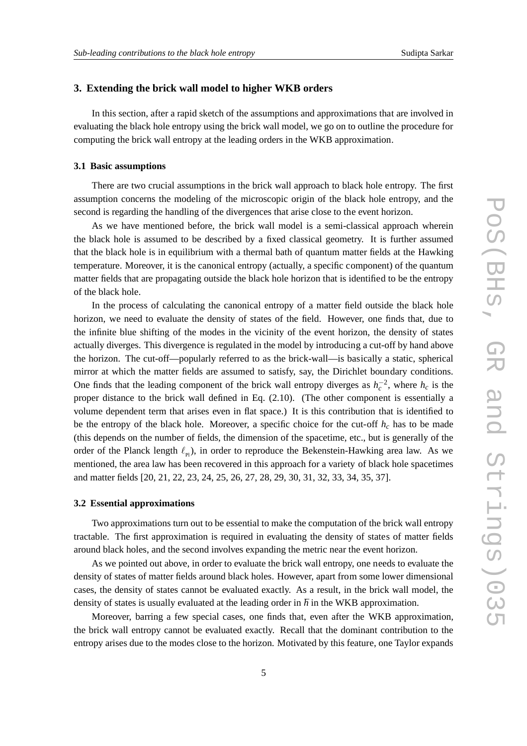## **3. Extending the brick wall model to higher WKB orders**

In this section, after a rapid sketch of the assumptions and approximations that are involved in evaluating the black hole entropy using the brick wall model, we go on to outline the procedure for computing the brick wall entropy at the leading orders in the WKB approximation.

#### **3.1 Basic assumptions**

There are two crucial assumptions in the brick wall approach to black hole entropy. The first assumption concerns the modeling of the microscopic origin of the black hole entropy, and the second is regarding the handling of the divergences that arise close to the event horizon.

As we have mentioned before, the brick wall model is a semi-classical approach wherein the black hole is assumed to be described by a fixed classical geometry. It is further assumed that the black hole is in equilibrium with a thermal bath of quantum matter fields at the Hawking temperature. Moreover, it is the canonical entropy (actually, a specific component) of the quantum matter fields that are propagating outside the black hole horizon that is identified to be the entropy of the black hole.

In the process of calculating the canonical entropy of a matter field outside the black hole horizon, we need to evaluate the density of states of the field. However, one finds that, due to the infinite blue shifting of the modes in the vicinity of the event horizon, the density of states actually diverges. This divergence is regulated in the model by introducing a cut-off by hand above the horizon. The cut-off—popularly referred to as the brick-wall—is basically a static, spherical mirror at which the matter fields are assumed to satisfy, say, the Dirichlet boundary conditions. One finds that the leading component of the brick wall entropy diverges as  $h_c^{-2}$ , where  $h_c$  is the proper distance to the brick wall defined in Eq. (2.10). (The other component is essentially a volume dependent term that arises even in flat space.) It is this contribution that is identified to be the entropy of the black hole. Moreover, a specific choice for the cut-off  $h_c$  has to be made (this depends on the number of fields, the dimension of the spacetime, etc., but is generally of the order of the Planck length  $\ell_{\rm p}$ ), in order to reproduce the Bekenstein-Hawking area law. As we mentioned, the area law has been recovered in this approach for a variety of black hole spacetimes and matter fields [20, 21, 22, 23, 24, 25, 26, 27, 28, 29, 30, 31, 32, 33, 34, 35, 37].

## **3.2 Essential approximations**

Two approximations turn out to be essential to make the computation of the brick wall entropy tractable. The first approximation is required in evaluating the density of states of matter fields around black holes, and the second involves expanding the metric near the event horizon.

As we pointed out above, in order to evaluate the brick wall entropy, one needs to evaluate the density of states of matter fields around black holes. However, apart from some lower dimensional cases, the density of states cannot be evaluated exactly. As a result, in the brick wall model, the density of states is usually evaluated at the leading order in  $\hbar$  in the WKB approximation.

Moreover, barring a few special cases, one finds that, even after the WKB approximation, the brick wall entropy cannot be evaluated exactly. Recall that the dominant contribution to the entropy arises due to the modes close to the horizon. Motivated by this feature, one Taylor expands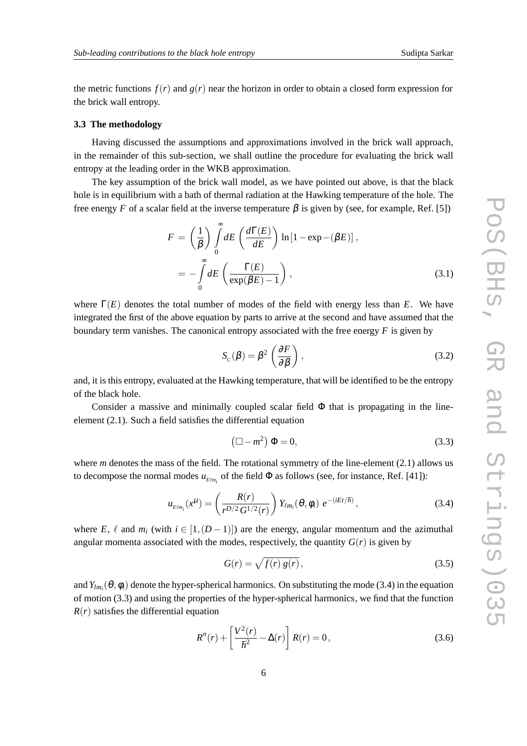the metric functions  $f(r)$  and  $g(r)$  near the horizon in order to obtain a closed form expression for the brick wall entropy.

### **3.3 The methodology**

Having discussed the assumptions and approximations involved in the brick wall approach, in the remainder of this sub-section, we shall outline the procedure for evaluating the brick wall entropy at the leading order in the WKB approximation.

The key assumption of the brick wall model, as we have pointed out above, is that the black hole is in equilibrium with a bath of thermal radiation at the Hawking temperature of the hole. The free energy *F* of a scalar field at the inverse temperature  $\beta$  is given by (see, for example, Ref. [5])

$$
F = \left(\frac{1}{\beta}\right) \int_{0}^{\infty} dE \left(\frac{d\Gamma(E)}{dE}\right) \ln\left[1 - \exp(-(\beta E)\right],
$$
  
= 
$$
-\int_{0}^{\infty} dE \left(\frac{\Gamma(E)}{\exp(\beta E) - 1}\right),
$$
 (3.1)

where  $\Gamma(E)$  denotes the total number of modes of the field with energy less than *E*. We have integrated the first of the above equation by parts to arrive at the second and have assumed that the boundary term vanishes. The canonical entropy associated with the free energy *F* is given by

$$
S_{\rm c}(\beta) = \beta^2 \left( \frac{\partial F}{\partial \beta} \right),\tag{3.2}
$$

and, it is this entropy, evaluated at the Hawking temperature, that will be identified to be the entropy of the black hole.

Consider a massive and minimally coupled scalar field  $\Phi$  that is propagating in the lineelement (2.1). Such a field satisfies the differential equation

$$
\left(\Box - m^2\right)\Phi = 0,\tag{3.3}
$$

where *m* denotes the mass of the field. The rotational symmetry of the line-element (2.1) allows us to decompose the normal modes  $u_{E\ell m_i}$  of the field  $\Phi$  as follows (see, for instance, Ref. [41]):

$$
u_{E\ell m_i}(x^{\mu}) = \left(\frac{R(r)}{r^{D/2} G^{1/2}(r)}\right) Y_{\ell m_i}(\theta, \phi_i) e^{-(iEt/\hbar)}, \qquad (3.4)
$$

where *E*,  $\ell$  and *m<sub>i</sub>* (with  $i \in [1,(D-1)]$ ) are the energy, angular momentum and the azimuthal angular momenta associated with the modes, respectively, the quantity  $G(r)$  is given by

$$
G(r) = \sqrt{f(r) g(r)},
$$
\n(3.5)

and  $Y_{lm_i}(\theta, \phi_i)$  denote the hyper-spherical harmonics. On substituting the mode (3.4) in the equation of motion (3.3) and using the properties of the hyper-spherical harmonics, we find that the function  $R(r)$  satisfies the differential equation

$$
R''(r) + \left[\frac{V^2(r)}{\hbar^2} - \Delta(r)\right]R(r) = 0, \tag{3.6}
$$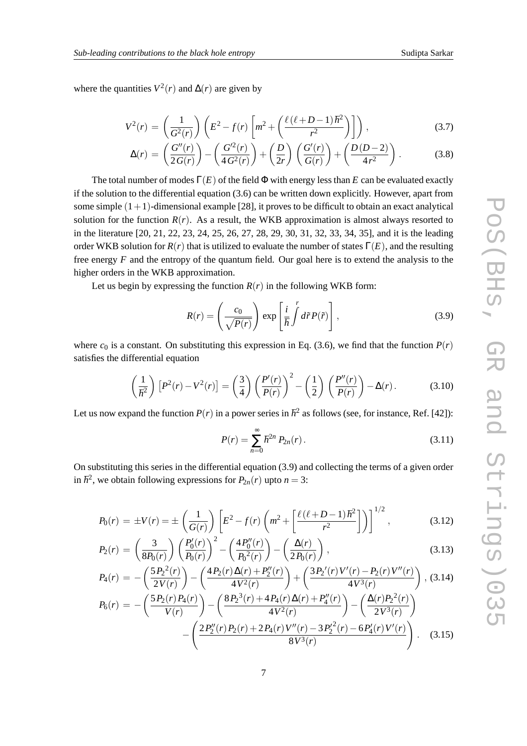where the quantities  $V^2(r)$  and  $\Delta(r)$  are given by

$$
V^{2}(r) = \left(\frac{1}{G^{2}(r)}\right) \left(E^{2} - f(r) \left[m^{2} + \left(\frac{\ell(\ell+D-1)\hbar^{2}}{r^{2}}\right)\right]\right),
$$
 (3.7)

$$
\Delta(r) = \left(\frac{G''(r)}{2G(r)}\right) - \left(\frac{G'^2(r)}{4G^2(r)}\right) + \left(\frac{D}{2r}\right)\left(\frac{G'(r)}{G(r)}\right) + \left(\frac{D(D-2)}{4r^2}\right). \tag{3.8}
$$

The total number of modes  $\Gamma(E)$  of the field  $\Phi$  with energy less than *E* can be evaluated exactly if the solution to the differential equation (3.6) can be written down explicitly. However, apart from some simple  $(1+1)$ -dimensional example [28], it proves to be difficult to obtain an exact analytical solution for the function  $R(r)$ . As a result, the WKB approximation is almost always resorted to in the literature [20, 21, 22, 23, 24, 25, 26, 27, 28, 29, 30, 31, 32, 33, 34, 35], and it is the leading order WKB solution for  $R(r)$  that is utilized to evaluate the number of states  $\Gamma(E)$ , and the resulting free energy *F* and the entropy of the quantum field. Our goal here is to extend the analysis to the higher orders in the WKB approximation.

Let us begin by expressing the function  $R(r)$  in the following WKB form:

$$
R(r) = \left(\frac{c_0}{\sqrt{P(r)}}\right) \exp\left[\frac{i}{\hbar} \int d\tilde{r} P(\tilde{r})\right],
$$
\n(3.9)

where  $c_0$  is a constant. On substituting this expression in Eq. (3.6), we find that the function  $P(r)$ satisfies the differential equation

$$
\left(\frac{1}{\hbar^2}\right)\left[P^2(r)-V^2(r)\right]=\left(\frac{3}{4}\right)\left(\frac{P'(r)}{P(r)}\right)^2-\left(\frac{1}{2}\right)\left(\frac{P''(r)}{P(r)}\right)-\Delta(r). \tag{3.10}
$$

Let us now expand the function  $P(r)$  in a power series in  $\hbar^2$  as follows (see, for instance, Ref. [42]):

$$
P(r) = \sum_{n=0}^{\infty} \hbar^{2n} P_{2n}(r).
$$
 (3.11)

On substituting this series in the differential equation (3.9) and collecting the terms of a given order in  $\hbar^2$ , we obtain following expressions for  $P_{2n}(r)$  upto  $n = 3$ :

$$
P_0(r) = \pm V(r) = \pm \left(\frac{1}{G(r)}\right) \left[E^2 - f(r) \left(m^2 + \left[\frac{\ell(\ell+D-1)\hbar^2}{r^2}\right]\right)\right]^{1/2},\tag{3.12}
$$

$$
P_2(r) = \left(\frac{3}{8P_0(r)}\right) \left(\frac{P'_0(r)}{P_0(r)}\right)^2 - \left(\frac{4P''_0(r)}{P_0^2(r)}\right) - \left(\frac{\Delta(r)}{2P_0(r)}\right),\tag{3.13}
$$

$$
P_4(r) = -\left(\frac{5P_2^2(r)}{2V(r)}\right) - \left(\frac{4P_2(r)\Delta(r) + P_2''(r)}{4V^2(r)}\right) + \left(\frac{3P_2'(r)V'(r) - P_2(r)V''(r)}{4V^3(r)}\right), (3.14)
$$
  
\n
$$
P_4(r) = -\left(\frac{5P_2(r)P_4(r)}{4V^3(r)}\right) - \left(\frac{8P_2^3(r) + 4P_4(r)\Delta(r) + P_4''(r)}{4V^3(r)}\right) - \left(\frac{\Delta(r)P_2^2(r)}{4V^3(r)}\right)
$$

$$
P_6(r) = -\left(\frac{32\sqrt{(r+4)(r)}}{V(r)}\right) - \left(\frac{32\sqrt{(r+4)(r)} - 3V(r)}{4V^2(r)}\right) - \left(\frac{32\sqrt{(r+4)(r)}}{2V^3(r)}\right) - \left(\frac{2P_2''(r)P_2(r) + 2P_4(r)V''(r) - 3P_2'^2(r) - 6P_4'(r)V'(r)}{8V^3(r)}\right). \tag{3.15}
$$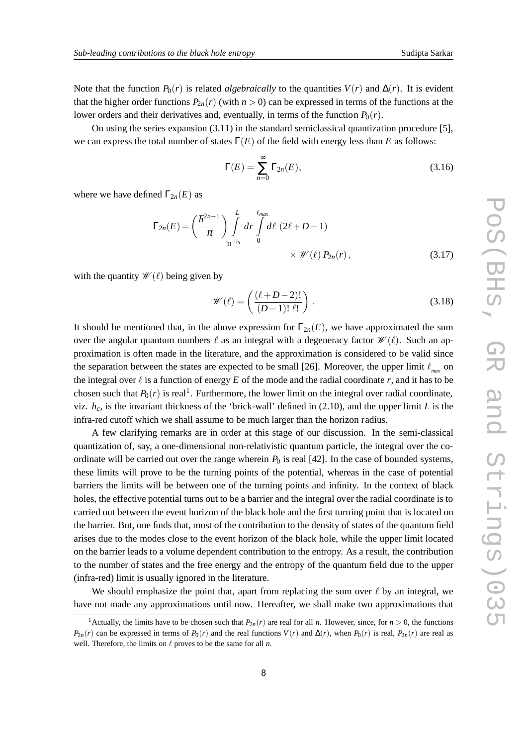Note that the function  $P_0(r)$  is related *algebraically* to the quantities  $V(r)$  and  $\Delta(r)$ . It is evident that the higher order functions  $P_{2n}(r)$  (with  $n > 0$ ) can be expressed in terms of the functions at the lower orders and their derivatives and, eventually, in terms of the function  $P_0(r)$ .

On using the series expansion (3.11) in the standard semiclassical quantization procedure [5], we can express the total number of states  $\Gamma(E)$  of the field with energy less than *E* as follows:

$$
\Gamma(E) = \sum_{n=0}^{\infty} \Gamma_{2n}(E),
$$
\n(3.16)

where we have defined  $\Gamma_{2n}(E)$  as

$$
\Gamma_{2n}(E) = \left(\frac{\hbar^{2n-1}}{\pi}\right) \int\limits_{r_H + h_c}^{L} dr \int\limits_{0}^{\ell_{max}} d\ell \ (2\ell + D - 1) \times \mathcal{W}(\ell) P_{2n}(r), \tag{3.17}
$$

with the quantity  $\mathscr{W}(\ell)$  being given by

$$
\mathscr{W}(\ell) = \left(\frac{(\ell+D-2)!}{(D-1)!\ell!}\right). \tag{3.18}
$$

It should be mentioned that, in the above expression for  $\Gamma_{2n}(E)$ , we have approximated the sum over the angular quantum numbers  $\ell$  as an integral with a degeneracy factor  $\mathcal{W}(\ell)$ . Such an approximation is often made in the literature, and the approximation is considered to be valid since the separation between the states are expected to be small [26]. Moreover, the upper limit  $\ell_{\text{max}}$  on the integral over  $\ell$  is a function of energy  $E$  of the mode and the radial coordinate  $r$ , and it has to be chosen such that  $P_0(r)$  is real<sup>1</sup>. Furthermore, the lower limit on the integral over radial coordinate, viz.  $h_c$ , is the invariant thickness of the 'brick-wall' defined in (2.10), and the upper limit *L* is the infra-red cutoff which we shall assume to be much larger than the horizon radius.

A few clarifying remarks are in order at this stage of our discussion. In the semi-classical quantization of, say, a one-dimensional non-relativistic quantum particle, the integral over the coordinate will be carried out over the range wherein  $P_0$  is real [42]. In the case of bounded systems, these limits will prove to be the turning points of the potential, whereas in the case of potential barriers the limits will be between one of the turning points and infinity. In the context of black holes, the effective potential turns out to be a barrier and the integral over the radial coordinate is to carried out between the event horizon of the black hole and the first turning point that is located on the barrier. But, one finds that, most of the contribution to the density of states of the quantum field arises due to the modes close to the event horizon of the black hole, while the upper limit located on the barrier leads to a volume dependent contribution to the entropy. As a result, the contribution to the number of states and the free energy and the entropy of the quantum field due to the upper (infra-red) limit is usually ignored in the literature.

We should emphasize the point that, apart from replacing the sum over  $\ell$  by an integral, we have not made any approximations until now. Hereafter, we shall make two approximations that

<sup>&</sup>lt;sup>1</sup> Actually, the limits have to be chosen such that  $P_{2n}(r)$  are real for all *n*. However, since, for  $n > 0$ , the functions  $P_{2n}(r)$  can be expressed in terms of  $P_0(r)$  and the real functions  $V(r)$  and  $\Delta(r)$ , when  $P_0(r)$  is real,  $P_{2n}(r)$  are real as well. Therefore, the limits on  $\ell$  proves to be the same for all  $n$ .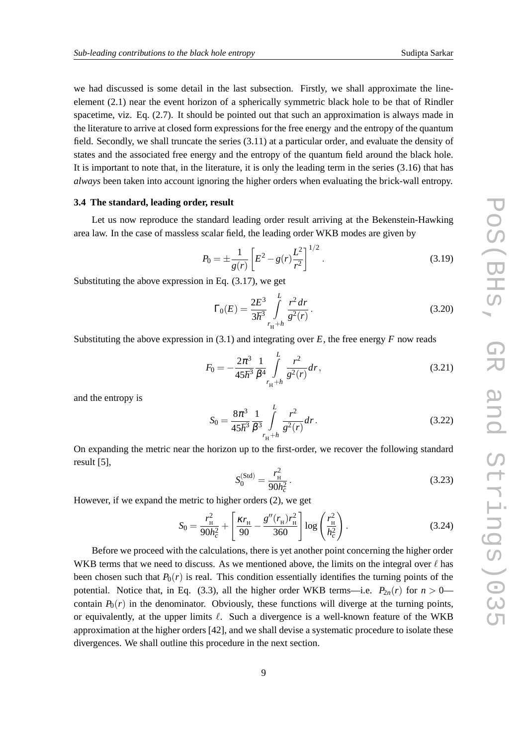we had discussed is some detail in the last subsection. Firstly, we shall approximate the lineelement (2.1) near the event horizon of a spherically symmetric black hole to be that of Rindler spacetime, viz. Eq. (2.7). It should be pointed out that such an approximation is always made in the literature to arrive at closed form expressions for the free energy and the entropy of the quantum field. Secondly, we shall truncate the series (3.11) at a particular order, and evaluate the density of states and the associated free energy and the entropy of the quantum field around the black hole. It is important to note that, in the literature, it is only the leading term in the series  $(3.16)$  that has *always* been taken into account ignoring the higher orders when evaluating the brick-wall entropy.

#### **3.4 The standard, leading order, result**

Let us now reproduce the standard leading order result arriving at the Bekenstein-Hawking area law. In the case of massless scalar field, the leading order WKB modes are given by

$$
P_0 = \pm \frac{1}{g(r)} \left[ E^2 - g(r) \frac{L^2}{r^2} \right]^{1/2}.
$$
 (3.19)

Substituting the above expression in Eq. (3.17), we get

$$
\Gamma_0(E) = \frac{2E^3}{3\hbar^3} \int\limits_{r_{\rm H} + h}^{L} \frac{r^2 dr}{g^2(r)}.
$$
\n(3.20)

Substituting the above expression in  $(3.1)$  and integrating over  $E$ , the free energy  $F$  now reads

$$
F_0 = -\frac{2\pi^3}{45\hbar^3} \frac{1}{\beta^4} \int_{r_{\rm H} + h}^{L} \frac{r^2}{g^2(r)} dr,
$$
\n(3.21)

and the entropy is

$$
S_0 = \frac{8\pi^3}{45\hbar^3} \frac{1}{\beta^3} \int_{r_H + h}^{L} \frac{r^2}{g^2(r)} dr.
$$
 (3.22)

On expanding the metric near the horizon up to the first-order, we recover the following standard result [5],

$$
S_0^{(\text{Std})} = \frac{r_{\text{H}}^2}{90h_c^2}.
$$
\n(3.23)

However, if we expand the metric to higher orders (2), we get

$$
S_0 = \frac{r_{\rm H}^2}{90h_c^2} + \left[\frac{\kappa r_{\rm H}}{90} - \frac{g''(r_{\rm H})r_{\rm H}^2}{360}\right] \log\left(\frac{r_{\rm H}^2}{h_c^2}\right). \tag{3.24}
$$

Before we proceed with the calculations, there is yet another point concerning the higher order WKB terms that we need to discuss. As we mentioned above, the limits on the integral over  $\ell$  has been chosen such that  $P_0(r)$  is real. This condition essentially identifies the turning points of the potential. Notice that, in Eq. (3.3), all the higher order WKB terms—i.e.  $P_{2n}(r)$  for  $n > 0$  contain  $P_0(r)$  in the denominator. Obviously, these functions will diverge at the turning points, or equivalently, at the upper limits  $\ell$ . Such a divergence is a well-known feature of the WKB approximation at the higher orders [42], and we shall devise a systematic procedure to isolate these divergences. We shall outline this procedure in the next section.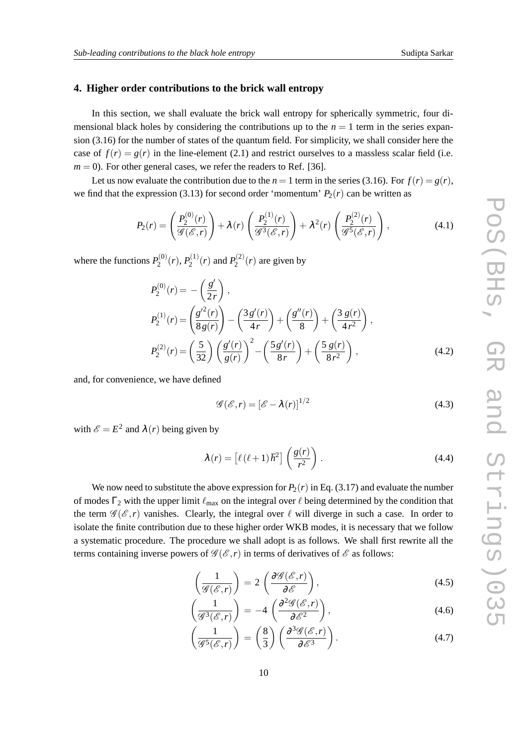## **4. Higher order contributions to the brick wall entropy**

In this section, we shall evaluate the brick wall entropy for spherically symmetric, four dimensional black holes by considering the contributions up to the  $n = 1$  term in the series expansion (3.16) for the number of states of the quantum field. For simplicity, we shall consider here the case of  $f(r) = g(r)$  in the line-element (2.1) and restrict ourselves to a massless scalar field (i.e.  $m = 0$ ). For other general cases, we refer the readers to Ref. [36].

Let us now evaluate the contribution due to the  $n = 1$  term in the series (3.16). For  $f(r) = g(r)$ , we find that the expression (3.13) for second order 'momentum'  $P_2(r)$  can be written as

$$
P_2(r) = \left(\frac{P_2^{(0)}(r)}{\mathscr{G}(\mathscr{E},r)}\right) + \lambda(r)\left(\frac{P_2^{(1)}(r)}{\mathscr{G}^3(\mathscr{E},r)}\right) + \lambda^2(r)\left(\frac{P_2^{(2)}(r)}{\mathscr{G}^5(\mathscr{E},r)}\right),\tag{4.1}
$$

where the functions  $P_2^{(0)}$  $P_2^{(0)}(r), P_2^{(1)}$  $P_2^{(1)}(r)$  and  $P_2^{(2)}$  $2^{(2)}(r)$  are given by

$$
P_2^{(0)}(r) = -\left(\frac{g'}{2r}\right),
$$
  
\n
$$
P_2^{(1)}(r) = \left(\frac{g'^2(r)}{8g(r)}\right) - \left(\frac{3g'(r)}{4r}\right) + \left(\frac{g''(r)}{8}\right) + \left(\frac{3g(r)}{4r^2}\right),
$$
  
\n
$$
P_2^{(2)}(r) = \left(\frac{5}{32}\right) \left(\frac{g'(r)}{g(r)}\right)^2 - \left(\frac{5g'(r)}{8r}\right) + \left(\frac{5g(r)}{8r^2}\right),
$$
\n(4.2)

and, for convenience, we have defined

$$
\mathcal{G}(\mathcal{E},r) = [\mathcal{E} - \lambda(r)]^{1/2}
$$
\n(4.3)

with  $\mathscr{E} = E^2$  and  $\lambda(r)$  being given by

$$
\lambda(r) = \left[\ell(\ell+1)\hbar^2\right] \left(\frac{g(r)}{r^2}\right). \tag{4.4}
$$

We now need to substitute the above expression for  $P_2(r)$  in Eq. (3.17) and evaluate the number of modes  $\Gamma_2$  with the upper limit  $\ell_{\text{max}}$  on the integral over  $\ell$  being determined by the condition that the term  $\mathscr{G}(\mathscr{E}, r)$  vanishes. Clearly, the integral over  $\ell$  will diverge in such a case. In order to isolate the finite contribution due to these higher order WKB modes, it is necessary that we follow a systematic procedure. The procedure we shall adopt is as follows. We shall first rewrite all the terms containing inverse powers of  $\mathscr{G}(\mathscr{E}, r)$  in terms of derivatives of  $\mathscr{E}$  as follows:

$$
\left(\frac{1}{\mathscr{G}(\mathscr{E},r)}\right) = 2\left(\frac{\partial \mathscr{G}(\mathscr{E},r)}{\partial \mathscr{E}}\right),\tag{4.5}
$$

$$
\left(\frac{1}{\mathscr{G}^3(\mathscr{E},r)}\right) = -4\left(\frac{\partial^2 \mathscr{G}(\mathscr{E},r)}{\partial \mathscr{E}^2}\right),\tag{4.6}
$$

$$
\left(\frac{1}{\mathscr{G}^5(\mathscr{E},r)}\right) = \left(\frac{8}{3}\right) \left(\frac{\partial^3 \mathscr{G}(\mathscr{E},r)}{\partial \mathscr{E}^3}\right). \tag{4.7}
$$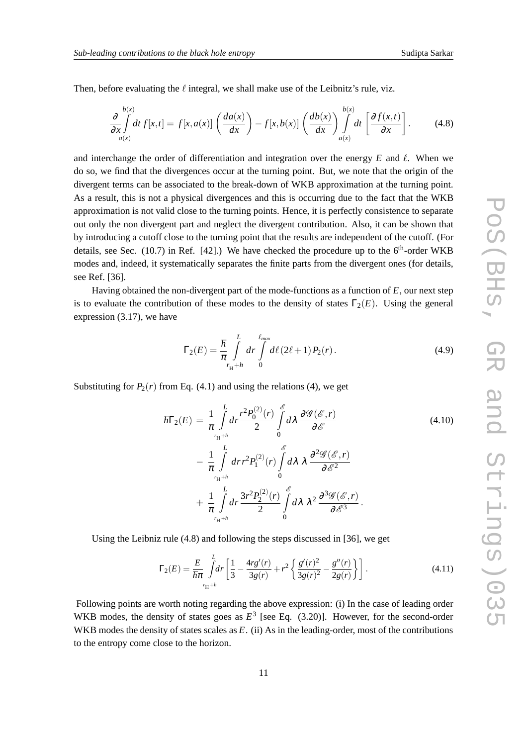Then, before evaluating the  $\ell$  integral, we shall make use of the Leibnitz's rule, viz.

$$
\frac{\partial}{\partial x} \int_{a(x)}^{b(x)} dt f[x,t] = f[x,a(x)] \left( \frac{da(x)}{dx} \right) - f[x,b(x)] \left( \frac{db(x)}{dx} \right) \int_{a(x)}^{b(x)} dt \left[ \frac{\partial f(x,t)}{\partial x} \right].
$$
 (4.8)

and interchange the order of differentiation and integration over the energy  $E$  and  $\ell$ . When we do so, we find that the divergences occur at the turning point. But, we note that the origin of the divergent terms can be associated to the break-down of WKB approximation at the turning point. As a result, this is not a physical divergences and this is occurring due to the fact that the WKB approximation is not valid close to the turning points. Hence, it is perfectly consistence to separate out only the non divergent part and neglect the divergent contribution. Also, it can be shown that by introducing a cutoff close to the turning point that the results are independent of the cutoff. (For details, see Sec. (10.7) in Ref. [42].) We have checked the procedure up to the  $6<sup>th</sup>$ -order WKB modes and, indeed, it systematically separates the finite parts from the divergent ones (for details, see Ref. [36].

Having obtained the non-divergent part of the mode-functions as a function of *E*, our next step is to evaluate the contribution of these modes to the density of states  $\Gamma_2(E)$ . Using the general expression (3.17), we have

$$
\Gamma_2(E) = \frac{\hbar}{\pi} \int_{r_H + h}^{L} dr \int_{0}^{\ell_{max}} d\ell (2\ell + 1) P_2(r).
$$
 (4.9)

Substituting for  $P_2(r)$  from Eq. (4.1) and using the relations (4), we get

$$
\hbar\Gamma_2(E) = \frac{1}{\pi} \int_{r_H + h}^{L} dr \frac{r^2 P_0^{(2)}(r)}{2} \int_{0}^{\mathscr{E}} d\lambda \frac{\partial \mathscr{G}(\mathscr{E}, r)}{\partial \mathscr{E}}
$$
(4.10)

$$
- \frac{1}{\pi} \int_{r_H+h}^{L} dr r^2 P_1^{(2)}(r) \int_0^{\mathscr{E}} d\lambda \ \lambda \ \frac{\partial^2 \mathscr{G}(\mathscr{E}, r)}{\partial \mathscr{E}^2} + \frac{1}{\pi} \int_{r_H+h}^{L} dr \frac{3r^2 P_2^{(2)}(r)}{2} \int_0^{\mathscr{E}} d\lambda \ \lambda^2 \frac{\partial^3 \mathscr{G}(\mathscr{E}, r)}{\partial \mathscr{E}^3}.
$$

Using the Leibniz rule (4.8) and following the steps discussed in [36], we get

$$
\Gamma_2(E) = \frac{E}{\hbar \pi} \int_{r_H + h}^{L} dr \left[ \frac{1}{3} - \frac{4r g'(r)}{3g(r)} + r^2 \left\{ \frac{g'(r)^2}{3g(r)^2} - \frac{g''(r)}{2g(r)} \right\} \right].
$$
\n(4.11)

Following points are worth noting regarding the above expression: (i) In the case of leading order WKB modes, the density of states goes as  $E^3$  [see Eq. (3.20)]. However, for the second-order WKB modes the density of states scales as *E*. (ii) As in the leading-order, most of the contributions to the entropy come close to the horizon.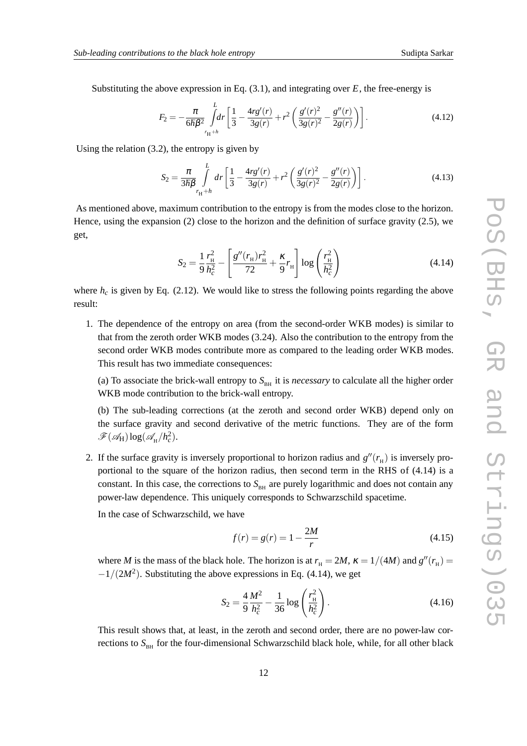Substituting the above expression in Eq.  $(3.1)$ , and integrating over *E*, the free-energy is

$$
F_2 = -\frac{\pi}{6\hbar\beta^2} \int_{r_H + h}^{L} dr \left[ \frac{1}{3} - \frac{4r g'(r)}{3g(r)} + r^2 \left( \frac{g'(r)^2}{3g(r)^2} - \frac{g''(r)}{2g(r)} \right) \right].
$$
 (4.12)

Using the relation (3.2), the entropy is given by

$$
S_2 = \frac{\pi}{3\hbar\beta} \int_{r_H + h}^{L} dr \left[ \frac{1}{3} - \frac{4r g'(r)}{3g(r)} + r^2 \left( \frac{g'(r)^2}{3g(r)^2} - \frac{g''(r)}{2g(r)} \right) \right].
$$
 (4.13)

As mentioned above, maximum contribution to the entropy is from the modes close to the horizon. Hence, using the expansion (2) close to the horizon and the definition of surface gravity (2.5), we get,

$$
S_2 = \frac{1}{9} \frac{r_{\rm H}^2}{h_c^2} - \left[ \frac{g''(r_{\rm H})r_{\rm H}^2}{72} + \frac{\kappa}{9} r_{\rm H} \right] \log \left( \frac{r_{\rm H}^2}{h_c^2} \right) \tag{4.14}
$$

where  $h_c$  is given by Eq. (2.12). We would like to stress the following points regarding the above result:

1. The dependence of the entropy on area (from the second-order WKB modes) is similar to that from the zeroth order WKB modes (3.24). Also the contribution to the entropy from the second order WKB modes contribute more as compared to the leading order WKB modes. This result has two immediate consequences:

(a) To associate the brick-wall entropy to  $S<sub>BH</sub>$  it is *necessary* to calculate all the higher order WKB mode contribution to the brick-wall entropy.

(b) The sub-leading corrections (at the zeroth and second order WKB) depend only on the surface gravity and second derivative of the metric functions. They are of the form  $\mathscr{F}(\mathscr{A}_H) \log(\mathscr{A}_{H}/h_c^2)$ .

2. If the surface gravity is inversely proportional to horizon radius and  $g''(r_H)$  is inversely proportional to the square of the horizon radius, then second term in the RHS of (4.14) is a constant. In this case, the corrections to  $S<sub>BH</sub>$  are purely logarithmic and does not contain any power-law dependence. This uniquely corresponds to Schwarzschild spacetime.

In the case of Schwarzschild, we have

$$
f(r) = g(r) = 1 - \frac{2M}{r}
$$
 (4.15)

where *M* is the mass of the black hole. The horizon is at  $r<sub>H</sub> = 2M$ ,  $\kappa = 1/(4M)$  and  $g''(r<sub>H</sub>) =$  $-1/(2M^2)$ . Substituting the above expressions in Eq. (4.14), we get

$$
S_2 = \frac{4}{9} \frac{M^2}{h_c^2} - \frac{1}{36} \log \left( \frac{r_{\rm H}^2}{h_c^2} \right). \tag{4.16}
$$

This result shows that, at least, in the zeroth and second order, there are no power-law corrections to S<sub>BH</sub> for the four-dimensional Schwarzschild black hole, while, for all other black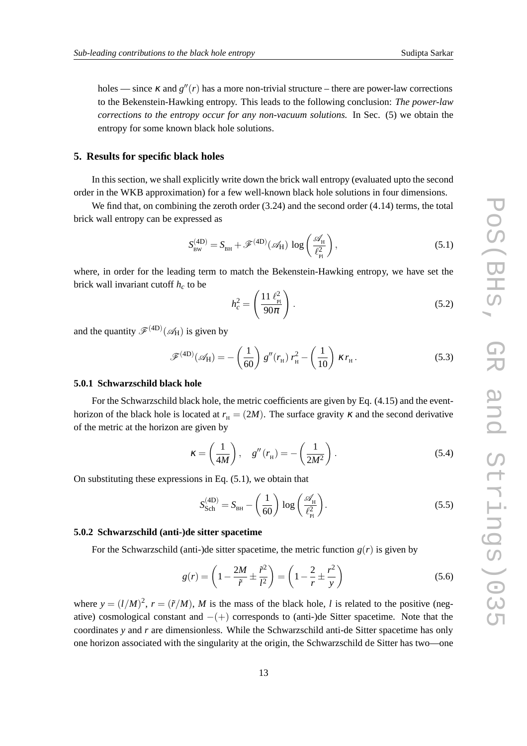holes — since  $\kappa$  and  $g''(r)$  has a more non-trivial structure – there are power-law corrections to the Bekenstein-Hawking entropy. This leads to the following conclusion: *The power-law corrections to the entropy occur for any non-vacuum solutions.* In Sec. (5) we obtain the entropy for some known black hole solutions.

## **5. Results for specific black holes**

In this section, we shall explicitly write down the brick wall entropy (evaluated upto the second order in the WKB approximation) for a few well-known black hole solutions in four dimensions.

We find that, on combining the zeroth order  $(3.24)$  and the second order  $(4.14)$  terms, the total brick wall entropy can be expressed as

$$
S_{\text{BW}}^{(\text{4D})} = S_{\text{BH}} + \mathscr{F}^{(\text{4D})}(\mathscr{A}_{\text{H}}) \log \left( \frac{\mathscr{A}_{\text{H}}}{\ell_{\text{Pl}}^2} \right), \tag{5.1}
$$

where, in order for the leading term to match the Bekenstein-Hawking entropy, we have set the brick wall invariant cutoff *h<sup>c</sup>* to be

$$
h_c^2 = \left(\frac{11 \ell_{\rm Pl}^2}{90\pi}\right). \tag{5.2}
$$

and the quantity  $\mathscr{F}^{(4D)}(\mathscr{A}_{H})$  is given by

$$
\mathscr{F}^{(4D)}(\mathscr{A}_{H}) = -\left(\frac{1}{60}\right)g''(r_{H})r_{H}^{2} - \left(\frac{1}{10}\right)\kappa r_{H}.
$$
 (5.3)

## **5.0.1 Schwarzschild black hole**

For the Schwarzschild black hole, the metric coefficients are given by Eq. (4.15) and the eventhorizon of the black hole is located at  $r<sub>H</sub> = (2M)$ . The surface gravity  $\kappa$  and the second derivative of the metric at the horizon are given by

$$
\kappa = \left(\frac{1}{4M}\right), \quad g''(r_{\rm H}) = -\left(\frac{1}{2M^2}\right). \tag{5.4}
$$

On substituting these expressions in Eq.  $(5.1)$ , we obtain that

$$
S_{\text{Sch}}^{(\text{4D})} = S_{\text{BH}} - \left(\frac{1}{60}\right) \log \left(\frac{\mathscr{A}_{\text{H}}}{\ell_{\text{Pl}}^2}\right). \tag{5.5}
$$

#### **5.0.2 Schwarzschild (anti-)de sitter spacetime**

For the Schwarzschild (anti-)de sitter spacetime, the metric function  $g(r)$  is given by

$$
g(r) = \left(1 - \frac{2M}{\tilde{r}} \pm \frac{\tilde{r}^2}{l^2}\right) = \left(1 - \frac{2}{r} \pm \frac{r^2}{y}\right)
$$
(5.6)

where  $y = (l/M)^2$ ,  $r = (\tilde{r}/M)$ , M is the mass of the black hole, *l* is related to the positive (negative) cosmological constant and  $-(+)$  corresponds to (anti-)de Sitter spacetime. Note that the coordinates *y* and *r* are dimensionless. While the Schwarzschild anti-de Sitter spacetime has only one horizon associated with the singularity at the origin, the Schwarzschild de Sitter has two—one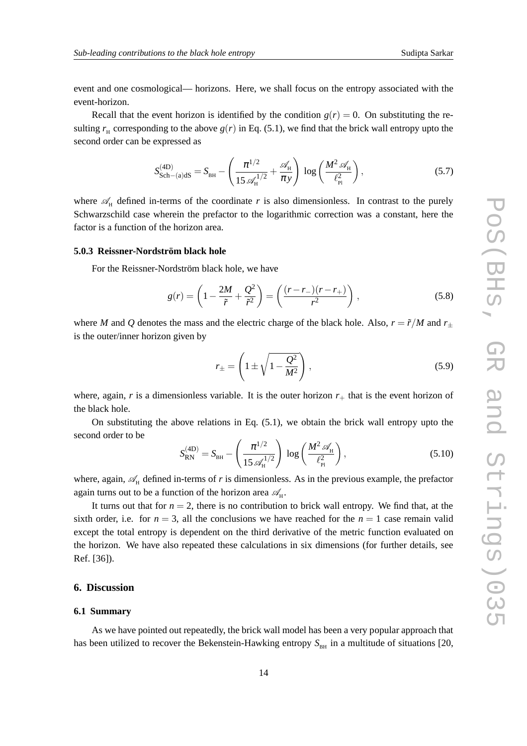event and one cosmological— horizons. Here, we shall focus on the entropy associated with the event-horizon.

Recall that the event horizon is identified by the condition  $g(r) = 0$ . On substituting the resulting  $r_{\rm H}$  corresponding to the above  $g(r)$  in Eq. (5.1), we find that the brick wall entropy upto the second order can be expressed as

$$
S_{\text{Sch}-(\text{a})dS}^{(\text{4D})} = S_{\text{BH}} - \left(\frac{\pi^{1/2}}{15 \mathcal{A}_{\text{H}}^{1/2}} + \frac{\mathcal{A}_{\text{H}}}{\pi y}\right) \log \left(\frac{M^2 \mathcal{A}_{\text{H}}}{\ell_{\text{Pl}}^2}\right),\tag{5.7}
$$

where  $\mathscr{A}_H$  defined in-terms of the coordinate *r* is also dimensionless. In contrast to the purely Schwarzschild case wherein the prefactor to the logarithmic correction was a constant, here the factor is a function of the horizon area.

## **5.0.3 Reissner-Nordström black hole**

For the Reissner-Nordström black hole, we have

$$
g(r) = \left(1 - \frac{2M}{\tilde{r}} + \frac{Q^2}{\tilde{r}^2}\right) = \left(\frac{(r - r_{-})(r - r_{+})}{r^2}\right),
$$
\n(5.8)

where *M* and *Q* denotes the mass and the electric charge of the black hole. Also,  $r = \tilde{r}/M$  and  $r_+$ is the outer/inner horizon given by

$$
r_{\pm} = \left(1 \pm \sqrt{1 - \frac{Q^2}{M^2}}\right),\tag{5.9}
$$

where, again,  $r$  is a dimensionless variable. It is the outer horizon  $r_{+}$  that is the event horizon of the black hole.

On substituting the above relations in Eq. (5.1), we obtain the brick wall entropy upto the second order to be

$$
S_{\rm RN}^{(4D)} = S_{\rm BH} - \left(\frac{\pi^{1/2}}{15 \mathscr{A}_{\rm H}^{1/2}}\right) \log \left(\frac{M^2 \mathscr{A}_{\rm H}}{\ell_{\rm Pl}^2}\right),\tag{5.10}
$$

where, again,  $\mathcal{A}_{H}$  defined in-terms of *r* is dimensionless. As in the previous example, the prefactor again turns out to be a function of the horizon area  $\mathscr{A}_H$ .

It turns out that for  $n = 2$ , there is no contribution to brick wall entropy. We find that, at the sixth order, i.e. for  $n = 3$ , all the conclusions we have reached for the  $n = 1$  case remain valid except the total entropy is dependent on the third derivative of the metric function evaluated on the horizon. We have also repeated these calculations in six dimensions (for further details, see Ref. [36]).

# **6. Discussion**

#### **6.1 Summary**

As we have pointed out repeatedly, the brick wall model has been a very popular approach that has been utilized to recover the Bekenstein-Hawking entropy  $S<sub>BH</sub>$  in a multitude of situations [20,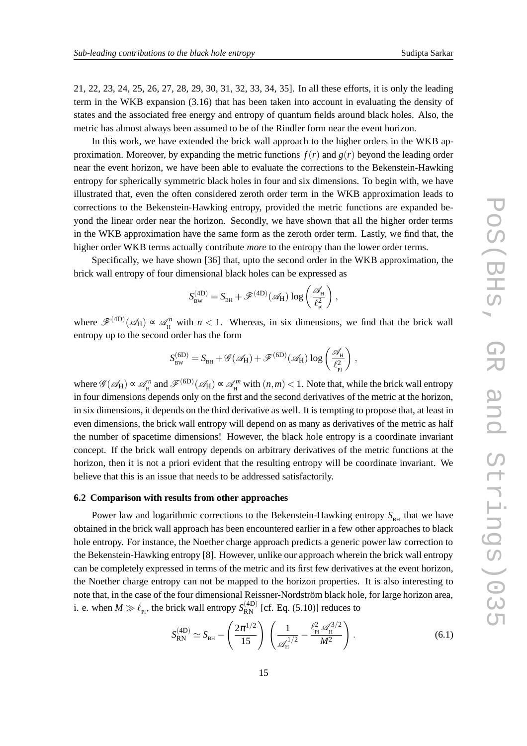21, 22, 23, 24, 25, 26, 27, 28, 29, 30, 31, 32, 33, 34, 35]. In all these efforts, it is only the leading term in the WKB expansion (3.16) that has been taken into account in evaluating the density of states and the associated free energy and entropy of quantum fields around black holes. Also, the metric has almost always been assumed to be of the Rindler form near the event horizon.

In this work, we have extended the brick wall approach to the higher orders in the WKB approximation. Moreover, by expanding the metric functions  $f(r)$  and  $g(r)$  beyond the leading order near the event horizon, we have been able to evaluate the corrections to the Bekenstein-Hawking entropy for spherically symmetric black holes in four and six dimensions. To begin with, we have illustrated that, even the often considered zeroth order term in the WKB approximation leads to corrections to the Bekenstein-Hawking entropy, provided the metric functions are expanded beyond the linear order near the horizon. Secondly, we have shown that all the higher order terms in the WKB approximation have the same form as the zeroth order term. Lastly, we find that, the higher order WKB terms actually contribute *more* to the entropy than the lower order terms.

Specifically, we have shown [36] that, upto the second order in the WKB approximation, the brick wall entropy of four dimensional black holes can be expressed as

$$
S^{(4\mathrm{D})}_\text{BW} = S_\text{BH} + \mathscr{F}^{(4\mathrm{D})}(\mathscr{A}_\text{H}) \log\left(\frac{\mathscr{A}_\text{H}}{\ell_\text{Pl}^2}\right),
$$

where  $\mathscr{F}^{(4D)}(\mathscr{A}_{H}) \propto \mathscr{A}_{H}^{n}$  with  $n < 1$ . Whereas, in six dimensions, we find that the brick wall entropy up to the second order has the form

$$
S^{(6D)}_{\text{\tiny BW}} = S_{\text{\tiny BH}} + \mathscr{G}(\mathscr{A}_{\text{H}}) + \mathscr{F}^{(6D)}(\mathscr{A}_{\text{H}})\log\left(\frac{\mathscr{A}_{\text{\tiny H}}}{\ell_{\text{\tiny Pl}}^2}\right)\,,
$$

where  $\mathscr{G}(\mathscr{A}_H) \propto \mathscr{A}_H^n$  and  $\mathscr{F}^{(6D)}(\mathscr{A}_H) \propto \mathscr{A}_H^m$  with  $(n,m) < 1$ . Note that, while the brick wall entropy in four dimensions depends only on the first and the second derivatives of the metric at the horizon, in six dimensions, it depends on the third derivative as well. It is tempting to propose that, at least in even dimensions, the brick wall entropy will depend on as many as derivatives of the metric as half the number of spacetime dimensions! However, the black hole entropy is a coordinate invariant concept. If the brick wall entropy depends on arbitrary derivatives of the metric functions at the horizon, then it is not a priori evident that the resulting entropy will be coordinate invariant. We believe that this is an issue that needs to be addressed satisfactorily.

## **6.2 Comparison with results from other approaches**

Power law and logarithmic corrections to the Bekenstein-Hawking entropy  $S_{BH}$  that we have obtained in the brick wall approach has been encountered earlier in a few other approaches to black hole entropy. For instance, the Noether charge approach predicts a generic power law correction to the Bekenstein-Hawking entropy [8]. However, unlike our approach wherein the brick wall entropy can be completely expressed in terms of the metric and its first few derivatives at the event horizon, the Noether charge entropy can not be mapped to the horizon properties. It is also interesting to note that, in the case of the four dimensional Reissner-Nordström black hole, for large horizon area, i. e. when  $M \gg \ell_{\rm Pl}$ , the brick wall entropy  $S_{\rm RN}^{\rm (4D)}$  [cf. Eq. (5.10)] reduces to

$$
S_{\rm RN}^{(4D)} \simeq S_{\rm BH} - \left(\frac{2\pi^{1/2}}{15}\right) \left(\frac{1}{\mathscr{A}_{\rm H}^{1/2}} - \frac{\ell_{\rm Pl}^2 \mathscr{A}_{\rm H}^{3/2}}{M^2}\right). \tag{6.1}
$$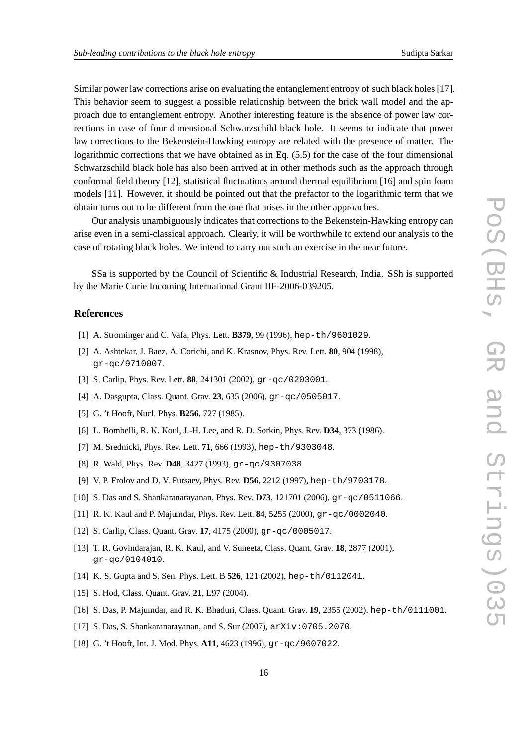Similar power law corrections arise on evaluating the entanglement entropy of such black holes [17]. This behavior seem to suggest a possible relationship between the brick wall model and the approach due to entanglement entropy. Another interesting feature is the absence of power law corrections in case of four dimensional Schwarzschild black hole. It seems to indicate that power law corrections to the Bekenstein-Hawking entropy are related with the presence of matter. The logarithmic corrections that we have obtained as in Eq. (5.5) for the case of the four dimensional Schwarzschild black hole has also been arrived at in other methods such as the approach through conformal field theory [12], statistical fluctuations around thermal equilibrium [16] and spin foam models [11]. However, it should be pointed out that the prefactor to the logarithmic term that we obtain turns out to be different from the one that arises in the other approaches.

Our analysis unambiguously indicates that corrections to the Bekenstein-Hawking entropy can arise even in a semi-classical approach. Clearly, it will be worthwhile to extend our analysis to the case of rotating black holes. We intend to carry out such an exercise in the near future.

SSa is supported by the Council of Scientific & Industrial Research, India. SSh is supported by the Marie Curie Incoming International Grant IIF-2006-039205.

### **References**

- [1] A. Strominger and C. Vafa, Phys. Lett. **B379**, 99 (1996), hep-th/9601029.
- [2] A. Ashtekar, J. Baez, A. Corichi, and K. Krasnov, Phys. Rev. Lett. **80**, 904 (1998), gr-qc/9710007.
- [3] S. Carlip, Phys. Rev. Lett. **88**, 241301 (2002), gr-qc/0203001.
- [4] A. Dasgupta, Class. Quant. Grav. **23**, 635 (2006), gr-qc/0505017.
- [5] G. 't Hooft, Nucl. Phys. **B256**, 727 (1985).
- [6] L. Bombelli, R. K. Koul, J.-H. Lee, and R. D. Sorkin, Phys. Rev. **D34**, 373 (1986).
- [7] M. Srednicki, Phys. Rev. Lett. **71**, 666 (1993), hep-th/9303048.
- [8] R. Wald, Phys. Rev. **D48**, 3427 (1993), gr-qc/9307038.
- [9] V. P. Frolov and D. V. Fursaev, Phys. Rev. **D56**, 2212 (1997), hep-th/9703178.
- [10] S. Das and S. Shankaranarayanan, Phys. Rev. **D73**, 121701 (2006), gr-qc/0511066.
- [11] R. K. Kaul and P. Majumdar, Phys. Rev. Lett. **84**, 5255 (2000), gr-qc/0002040.
- [12] S. Carlip, Class. Quant. Grav. **17**, 4175 (2000), gr-qc/0005017.
- [13] T. R. Govindarajan, R. K. Kaul, and V. Suneeta, Class. Quant. Grav. **18**, 2877 (2001), gr-qc/0104010.
- [14] K. S. Gupta and S. Sen, Phys. Lett. B **526**, 121 (2002), hep-th/0112041.
- [15] S. Hod, Class. Quant. Grav. **21**, L97 (2004).
- [16] S. Das, P. Majumdar, and R. K. Bhaduri, Class. Quant. Grav. **19**, 2355 (2002), hep-th/0111001.
- [17] S. Das, S. Shankaranarayanan, and S. Sur (2007), arXiv:0705.2070.
- [18] G. 't Hooft, Int. J. Mod. Phys. **A11**, 4623 (1996), gr-qc/9607022.